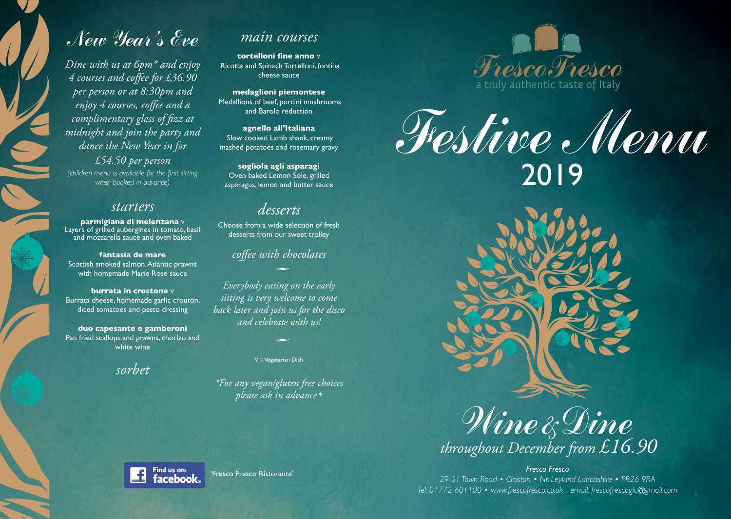# New Year 's Eve

*Dine with us at 6pm\* and enjoy 4 courses and coffee for £36.90 per person or at 8:30pm and enjoy 4 courses, coffee and a complimentary glass of fizz at midnight and join the party and dance the New Year in for £54.50 per person (children menu is available for the first sitting when booked in advance)*

#### *starters*

**parmigiana di melenzana** V Layers of grilled aubergines in tomato, basil and mozzarella sauce and oven baked

**fantasia de mare** Scottish smoked salmon,Atlantic prawns with homemade Marie Rose sauce

**burrata in crostone** V Burrata cheese, homemade garlic crouton, diced tomatoes and pesto dressing

**duo capesante e gamberoni** Pan fried scallops and prawns, chorizo and white wine

*sorbet*

# *main courses*

**tortelloni fine anno** V Ricotta and Spinach Tortelloni, fontina cheese sauce

**medaglioni piemontese** Medallions of beef, porcini mushrooms and Barolo reduction

**agnello all'Italiana** Slow cooked Lamb shank, creamy mashed potatoes and rosemary gravy

**sogliola agli asparagi** Oven baked Lemon Sole, grilled asparagus, lemon and butter sauce

## *desserts*

Choose from a wide selection of fresh desserts from our sweet trolley

#### *coffee with chocolates*

- *Everybody eating on the early sitting is very welcome to come back later and join us for the disco*<br>*and celebrate with us!*<br>V=Vegetarian Dish *and celebrate with us!*

V =Vegetarian Dish

*\*For any vegan/gluten free choices please ask in advance* \*



Festive Menu 2019



Wine&Dine *throughout December from £16.90*

*Fresco Fresco 29-31 Town Road • Croston • Nr. Leyland Lancashire • PR26 9RA Tel: 01772 601100 • www.frescofresco.co.uk email: frescofrescogio@gmail.com*



'Fresco Fresco Ristorante'